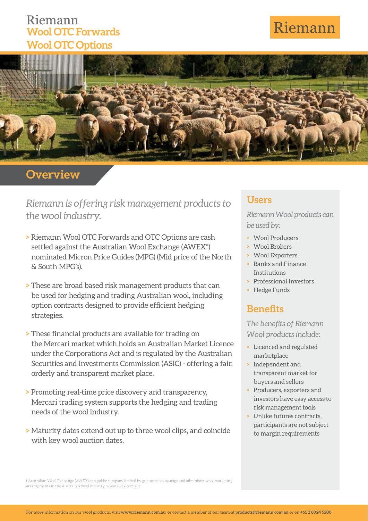## Riemann **Wool OTC Forwards Wool OTC Options**

# Riemann



## **Overview**

*Riemann is offering risk management products to the wool industry.*

- **>** Riemann Wool OTC Forwards and OTC Options are cash settled against the Australian Wool Exchange (AWEX\*) nominated Micron Price Guides (MPG) (Mid price of the North & South MPG's).
- **>** These are broad based risk management products that can be used for hedging and trading Australian wool, including option contracts designed to provide efficient hedging strategies.
- **> These financial products are available for trading on** the Mercari market which holds an Australian Market Licence under the Corporations Act and is regulated by the Australian Securities and Investments Commission (ASIC) - offering a fair, orderly and transparent market place.
- **>** Promoting real-time price discovery and transparency, Mercari trading system supports the hedging and trading needs of the wool industry.
- **>** Maturity dates extend out up to three wool clips, and coincide with key wool auction dates.

#### **Users**

*Riemann Wool products can be used by:*

- **>** Wool Producers
- **>** Wool Brokers
- **>** Wool Exporters
- **>** Banks and Finance Institutions
- **>** Professional Investors
- **>** Hedge Funds

### **Benefits**

**The benefits of Riemann** *Wool products include:*

- **>** Licenced and regulated marketplace
- **>** Independent and transparent market for buyers and sellers
- **>** Producers, exporters and investors have easy access to risk management tools
- **>** Unlike futures contracts, participants are not subject to margin requirements

(\*Australian Wool Exchange (AWEX) as a public company limited by guarantee to manage and administer wool marketing arrangements in the Australian wool industry. www.awex.com.au)